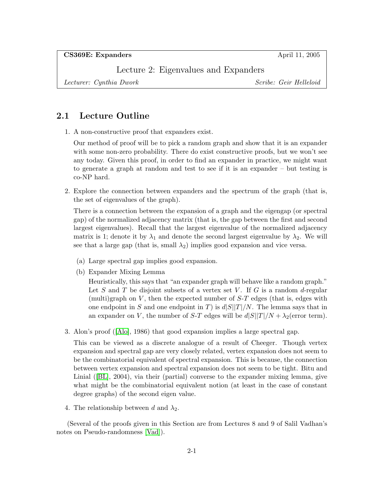CS369E: Expanders April 11, 2005

Lecture 2: Eigenvalues and Expanders

Lecturer: Cynthia Dwork Scribe: Geir Helleloid

# 2.1 Lecture Outline

1. A non-constructive proof that expanders exist.

Our method of proof will be to pick a random graph and show that it is an expander with some non-zero probability. There do exist constructive proofs, but we won't see any today. Given this proof, in order to find an expander in practice, we might want to generate a graph at random and test to see if it is an expander – but testing is co-NP hard.

2. Explore the connection between expanders and the spectrum of the graph (that is, the set of eigenvalues of the graph).

There is a connection between the expansion of a graph and the eigengap (or spectral gap) of the normalized adjacency matrix (that is, the gap between the first and second largest eigenvalues). Recall that the largest eigenvalue of the normalized adjacency matrix is 1; denote it by  $\lambda_1$  and denote the second largest eigenvalue by  $\lambda_2$ . We will see that a large gap (that is, small  $\lambda_2$ ) implies good expansion and vice versa.

- (a) Large spectral gap implies good expansion.
- (b) Expander Mixing Lemma

Heuristically, this says that "an expander graph will behave like a random graph." Let S and T be disjoint subsets of a vertex set V. If G is a random  $d$ -regular (multi)graph on  $V$ , then the expected number of  $S-T$  edges (that is, edges with one endpoint in S and one endpoint in T) is  $d|S||T|/N$ . The lemma says that in an expander on V, the number of S-T edges will be  $d|S||T|/N + \lambda_2$  (error term).

3. Alon's proof([\[Alo\]](#page-7-0), 1986) that good expansion implies a large spectral gap.

This can be viewed as a discrete analogue of a result of Cheeger. Though vertex expansion and spectral gap are very closely related, vertex expansion does not seem to be the combinatorial equivalent of spectral expansion. This is because, the connection between vertex expansion and spectral expansion does not seem to be tight. Bitu and Linial([\[BL\]](#page-7-1), 2004), via their (partial) converse to the expander mixing lemma, give what might be the combinatorial equivalent notion (at least in the case of constant degree graphs) of the second eigen value.

4. The relationship between d and  $\lambda_2$ .

(Several of the proofs given in this Section are from Lectures 8 and 9 of Salil Vadhan's notes on Pseudo-randomness [\[Vad\]](#page-7-2)).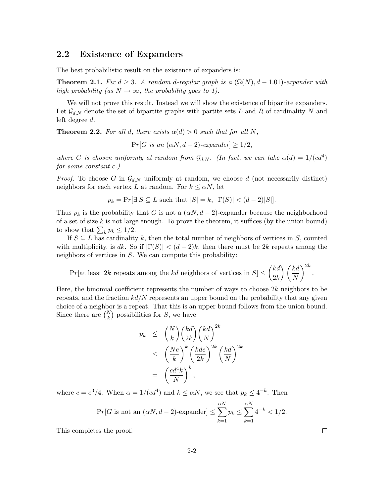## 2.2 Existence of Expanders

The best probabilistic result on the existence of expanders is:

**Theorem 2.1.** Fix  $d \geq 3$ . A random d-regular graph is a  $(\Omega(N), d - 1.01)$ -expander with high probability (as  $N \to \infty$ , the probability goes to 1).

We will not prove this result. Instead we will show the existence of bipartite expanders. Let  $\mathcal{G}_{d,N}$  denote the set of bipartite graphs with partite sets L and R of cardinality N and left degree d.

**Theorem 2.2.** For all d, there exists  $\alpha(d) > 0$  such that for all N,

 $Pr[G \text{ is an } (\alpha N, d-2)\text{-}expander] > 1/2,$ 

where G is chosen uniformly at random from  $\mathcal{G}_{d,N}$ . (In fact, we can take  $\alpha(d) = 1/(cd^4)$ ) for some constant c.)

*Proof.* To choose G in  $\mathcal{G}_{d,N}$  uniformly at random, we choose d (not necessarily distinct) neighbors for each vertex L at random. For  $k \leq \alpha N$ , let

 $p_k = Pr[\exists S \subseteq L \text{ such that } |S| = k, |\Gamma(S)| < (d-2)|S|].$ 

Thus  $p_k$  is the probability that G is not a  $(\alpha N, d - 2)$ -expander because the neighborhood of a set of size  $k$  is not large enough. To prove the theorem, it suffices (by the union bound) to show that  $\sum_k p_k \leq 1/2$ .

If  $S \subseteq L$  has cardinality k, then the total number of neighbors of vertices in S, counted with multiplicity, is dk. So if  $|\Gamma(S)| < (d-2)k$ , then there must be 2k repeats among the neighbors of vertices in S. We can compute this probability:

Pr[at least 2k repeats among the kd neighbors of vertices in  $S \leq \binom{kd}{\infty}$  $2k$  $\bigwedge$  / kd N  $\bigg)^{2k}$ .

Here, the binomial coefficient represents the number of ways to choose  $2k$  neighbors to be repeats, and the fraction  $kd/N$  represents an upper bound on the probability that any given choice of a neighbor is a repeat. That this is an upper bound follows from the union bound. Since there are  $\binom{N}{k}$  possibilities for S, we have

$$
p_k \leq {N \choose k} {kd \choose 2k} {kd \choose N}^{2k}
$$
  

$$
\leq {Ne \choose k}^{k} {kd e \choose 2k}^{2k} {kd \choose N}^{2k}
$$
  

$$
= {cd^4k \choose N}^{k},
$$

where  $c = e^3/4$ . When  $\alpha = 1/(cd^4)$  and  $k \le \alpha N$ , we see that  $p_k \le 4^{-k}$ . Then

$$
\Pr[G \text{ is not an } (\alpha N, d-2)\text{-expander}] \le \sum_{k=1}^{\alpha N} p_k \le \sum_{k=1}^{\alpha N} 4^{-k} < 1/2.
$$

This completes the proof.

 $\Box$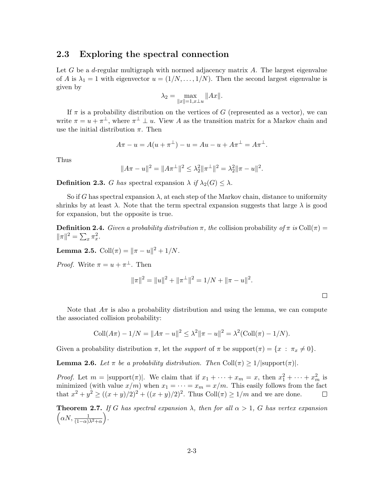### 2.3 Exploring the spectral connection

Let  $G$  be a *d*-regular multigraph with normed adjacency matrix  $A$ . The largest eigenvalue of A is  $\lambda_1 = 1$  with eigenvector  $u = (1/N, \ldots, 1/N)$ . Then the second largest eigenvalue is given by

$$
\lambda_2 = \max_{\|x\|=1, x\perp u} \|Ax\|.
$$

If  $\pi$  is a probability distribution on the vertices of G (represented as a vector), we can write  $\pi = u + \pi^{\perp}$ , where  $\pi^{\perp} \perp u$ . View A as the transition matrix for a Markov chain and use the initial distribution  $\pi$ . Then

$$
A\pi - u = A(u + \pi^{\perp}) - u = Au - u + A\pi^{\perp} = A\pi^{\perp}.
$$

Thus

$$
||A\pi - u||^2 = ||A\pi^{\perp}||^2 \le \lambda_2^2 ||\pi^{\perp}||^2 = \lambda_2^2 ||\pi - u||^2.
$$

**Definition 2.3.** G has spectral expansion  $\lambda$  if  $\lambda_2(G) \leq \lambda$ .

So if G has spectral expansion  $\lambda$ , at each step of the Markov chain, distance to uniformity shrinks by at least  $\lambda$ . Note that the term spectral expansion suggests that large  $\lambda$  is good for expansion, but the opposite is true.

**Definition 2.4.** Given a probability distribution  $\pi$ , the collision probability of  $\pi$  is Coll $(\pi)$  =  $\|\pi\|^2 = \sum_x \pi_x^2.$ 

**Lemma 2.5.** Coll $(\pi) = ||\pi - u||^2 + 1/N$ .

*Proof.* Write  $\pi = u + \pi^{\perp}$ . Then

$$
\|\pi\|^2 = \|u\|^2 + \|\pi^{\perp}\|^2 = 1/N + \|\pi - u\|^2.
$$

 $\Box$ 

Note that  $A\pi$  is also a probability distribution and using the lemma, we can compute the associated collision probability:

$$
Coll(A\pi) - 1/N = ||A\pi - u||^2 \le \lambda^2 ||\pi - u||^2 = \lambda^2 (Coll(\pi) - 1/N).
$$

Given a probability distribution  $\pi$ , let the *support* of  $\pi$  be support $(\pi) = \{x : \pi_x \neq 0\}.$ 

**Lemma 2.6.** Let  $\pi$  be a probability distribution. Then Coll $(\pi) \geq 1/|\text{support}(\pi)|$ .

*Proof.* Let  $m = |\text{support}(\pi)|$ . We claim that if  $x_1 + \cdots + x_m = x$ , then  $x_1^2 + \cdots + x_m^2$  is minimized (with value  $x/m$ ) when  $x_1 = \cdots = x_m = x/m$ . This easily follows from the fact that  $x^2 + y^2 \ge ((x+y)/2)^2 + ((x+y)/2)^2$ . Thus Coll $(\pi) \ge 1/m$  and we are done.  $\Box$ 

**Theorem 2.7.** If G has spectral expansion  $\lambda$ , then for all  $\alpha > 1$ , G has vertex expansion  $\left(\alpha N, \frac{1}{(1-\alpha)\lambda^2+\alpha}\right)$ .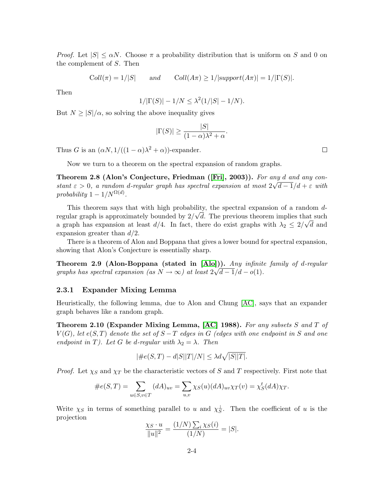*Proof.* Let  $|S| \leq \alpha N$ . Choose  $\pi$  a probability distribution that is uniform on S and 0 on the complement of S. Then

 $Coll(\pi) = 1/|S|$  and  $Coll(A\pi) \ge 1/|support(A\pi)| = 1/|\Gamma(S)|$ .

Then

$$
1/|\Gamma(S)| - 1/N \le \lambda^2 (1/|S| - 1/N).
$$

But  $N \geq |S|/\alpha$ , so solving the above inequality gives

$$
|\Gamma(S)| \ge \frac{|S|}{(1-\alpha)\lambda^2 + \alpha}.
$$

Thus G is an  $(\alpha N, 1/((1 - \alpha)\lambda^2 + \alpha))$ -expander.

Now we turn to a theorem on the spectral expansion of random graphs.

Theorem 2.8 (Alon's Conjecture, Friedman ([\[Fri\]](#page-7-3), 2003)). For any d and any constant  $\varepsilon > 0$ , a random d-regular graph has spectral expansion at most  $2\sqrt{d-1}/d + \varepsilon$  with probability  $1 - 1/N^{\Omega(d)}$ .

This theorem says that with high probability, the spectral expansion of a random  $d$ regular graph is approximately bounded by  $2/\sqrt{d}$ . The previous theorem implies that such a graph has expansion at least  $d/4$ . In fact, there do exist graphs with  $\lambda_2 \leq 2/\sqrt{d}$  and expansion greater than  $d/2$ .

There is a theorem of Alon and Boppana that gives a lower bound for spectral expansion, showing that Alon's Conjecture is essentially sharp.

Theorem 2.9 (Alon-Boppana (stated in  $[Ab])$ ). Any infinite family of d-regular graphs has spectral expansion (as  $N \to \infty$ ) at least  $2\sqrt{d-1}/d-o(1)$ .

#### 2.3.1 Expander Mixing Lemma

Heuristically, the following lemma, due to Alon and Chung [\[AC\]](#page-7-4), says that an expander graph behaves like a random graph.

Theorem 2.10 (Expander Mixing Lemma,  $[AC]$  1988). For any subsets S and T of  $V(G)$ , let  $e(S,T)$  denote the set of  $S-T$  edges in G (edges with one endpoint in S and one endpoint in T). Let G be d-regular with  $\lambda_2 = \lambda$ . Then

$$
|\#e(S,T) - d|S||T|/N| \le \lambda d\sqrt{|S||T|}.
$$

*Proof.* Let  $\chi_S$  and  $\chi_T$  be the characteristic vectors of S and T respectively. First note that

$$
\#e(S,T) = \sum_{u \in S, v \in T} (dA)_{uv} = \sum_{u,v} \chi_S(u) (dA)_{uv} \chi_T(v) = \chi_S^t(dA) \chi_T.
$$

Write  $\chi_S$  in terms of something parallel to u and  $\chi_S^{\perp}$ . Then the coefficient of u is the projection

$$
\frac{\chi_S \cdot u}{\|u\|^2} = \frac{(1/N) \sum_i \chi_S(i)}{(1/N)} = |S|.
$$

 $\Box$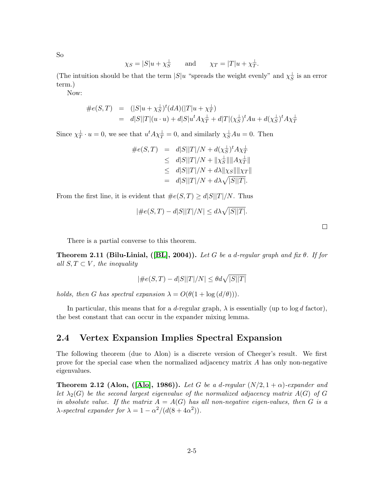So

$$
\chi_S = |S|u + \chi_S^{\perp}
$$
 and  $\chi_T = |T|u + \chi_T^{\perp}$ .

(The intuition should be that the term  $|S|u$  "spreads the weight evenly" and  $\chi_{\overline{S}}^{\perp}$  is an error term.)

Now:

$$
\begin{array}{rcl}\n\#e(S,T) & = & (|S|u + \chi_S^{\perp})^t (dA)(|T|u + \chi_T^{\perp}) \\
& = & d|S||T|(u \cdot u) + d|S|u^t A \chi_T^{\perp} + d|T| (\chi_S^{\perp})^t A u + d(\chi_S^{\perp})^t A \chi_T^{\perp}\n\end{array}
$$

Since  $\chi_T^{\perp} \cdot u = 0$ , we see that  $u^t A \chi_T^{\perp} = 0$ , and similarly  $\chi_S^{\perp} A u = 0$ . Then

$$
\begin{array}{rcl}\n\#e(S,T) & = & d|S||T|/N + d(\chi_S^{\perp})^t A \chi_T^{\perp} \\
& \leq & d|S||T|/N + ||\chi_S^{\perp}|| ||A \chi_T^{\perp}|| \\
& \leq & d|S||T|/N + d\lambda ||\chi_S|| ||\chi_T|| \\
& = & d|S||T|/N + d\lambda \sqrt{|S||T|}.\n\end{array}
$$

From the first line, it is evident that  $\#e(S,T) \geq d|S||T|/N$ . Thus

$$
|\#e(S,T) - d|S||T|/N| \le d\lambda \sqrt{|S||T|}.
$$

 $\Box$ 

There is a partial converse to this theorem.

**Theorem 2.11 (Bilu-Linial, ([\[BL\]](#page-7-1), 2004)).** Let G be a d-regular graph and fix  $\theta$ . If for all  $S, T \subset V$ , the inequality

$$
|\#e(S,T) - d|S||T|/N| \le \theta d\sqrt{|S||T|}
$$

holds, then G has spectral expansion  $\lambda = O(\theta(1 + \log(d/\theta)))$ .

In particular, this means that for a d-regular graph,  $\lambda$  is essentially (up to  $\log d$  factor), the best constant that can occur in the expander mixing lemma.

# 2.4 Vertex Expansion Implies Spectral Expansion

The following theorem (due to Alon) is a discrete version of Cheeger's result. We first prove for the special case when the normalized adjacency matrix A has only non-negative eigenvalues.

<span id="page-4-0"></span>**Theorem 2.12 (Alon, ([\[Alo\]](#page-7-0), 1986)).** Let G be a d-regular  $(N/2, 1 + \alpha)$ -expander and let  $\lambda_2(G)$  be the second largest eigenvalue of the normalized adjacency matrix  $A(G)$  of G in absolute value. If the matrix  $A = A(G)$  has all non-negative eigen-values, then G is a  $\lambda$ -spectral expander for  $\lambda = 1 - \alpha^2/(d(8 + 4\alpha^2))$ .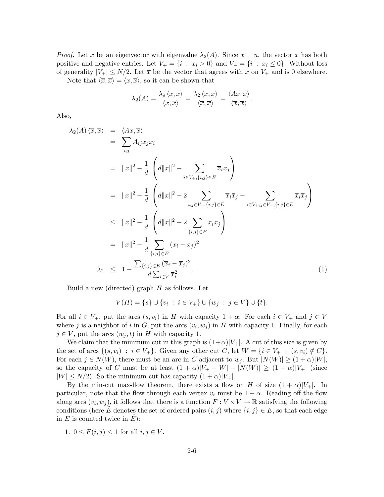*Proof.* Let x be an eigenvector with eigenvalue  $\lambda_2(A)$ . Since  $x \perp u$ , the vector x has both positive and negative entries. Let  $V_+ = \{i : x_i > 0\}$  and  $V_- = \{i : x_i \leq 0\}$ . Without loss of generality  $|V_+| \leq N/2$ . Let  $\bar{x}$  be the vector that agrees with x on  $V_+$  and is 0 elsewhere.

Note that  $\langle \overline{x}, \overline{x}\rangle = \langle x, \overline{x}\rangle$ , so it can be shown that

$$
\lambda_2(A) = \frac{\lambda_s \langle x, \overline{x} \rangle}{\langle x, \overline{x} \rangle} = \frac{\lambda_2 \langle x, \overline{x} \rangle}{\langle \overline{x}, \overline{x} \rangle} = \frac{\langle Ax, \overline{x} \rangle}{\langle \overline{x}, \overline{x} \rangle}.
$$

Also,

<span id="page-5-0"></span>
$$
\lambda_2(A) \langle \overline{x}, \overline{x} \rangle = \langle Ax, \overline{x} \rangle
$$
  
\n
$$
= \sum_{i,j} A_{ij} x_j \overline{x}_i
$$
  
\n
$$
= ||x||^2 - \frac{1}{d} \left( d||x||^2 - \sum_{i \in V_+, \{i,j\} \in E} \overline{x}_i x_j \right)
$$
  
\n
$$
= ||x||^2 - \frac{1}{d} \left( d||x||^2 - 2 \sum_{i,j \in V_+, \{i,j\} \in E} \overline{x}_i \overline{x}_j - \sum_{i \in V_+, j \in V_-, \{i,j\} \in E} \overline{x}_i \overline{x}_j \right)
$$
  
\n
$$
\leq ||x||^2 - \frac{1}{d} \left( d||x||^2 - 2 \sum_{\{i,j\} \in E} \overline{x}_i \overline{x}_j \right)
$$
  
\n
$$
= ||x||^2 - \frac{1}{d} \sum_{\{i,j\} \in E} (\overline{x}_i - \overline{x}_j)^2
$$
  
\n
$$
\lambda_2 \leq 1 - \frac{\sum_{\{i,j\} \in E} (\overline{x}_i - \overline{x}_j)^2}{d \sum_{i \in V} \overline{x}_i^2}.
$$
 (1)

Build a new (directed) graph  $H$  as follows. Let

$$
V(H) = \{s\} \cup \{v_i : i \in V_+\} \cup \{w_j : j \in V\} \cup \{t\}.
$$

For all  $i \in V_+$ , put the arcs  $(s, v_i)$  in H with capacity  $1 + \alpha$ . For each  $i \in V_+$  and  $j \in V$ where j is a neighbor of i in G, put the arcs  $(v_i, w_j)$  in H with capacity 1. Finally, for each  $j \in V$ , put the arcs  $(w_j, t)$  in H with capacity 1.

We claim that the minimum cut in this graph is  $(1+\alpha)|V_+|$ . A cut of this size is given by the set of arcs  $\{(s, v_i) : i \in V_+\}$ . Given any other cut C, let  $W = \{i \in V_+ : (s, v_i) \notin C\}$ . For each  $j \in N(W)$ , there must be an arc in C adjacent to  $w_j$ . But  $|N(W)| \ge (1+\alpha)|W|$ , so the capacity of C must be at least  $(1 + \alpha)|V_+ - W| + |N(W)| \ge (1 + \alpha)|V_+|$  (since  $|W| \leq N/2$ . So the minimum cut has capacity  $(1+\alpha)|V_+|$ .

By the min-cut max-flow theorem, there exists a flow on H of size  $(1 + \alpha)|V_+|$ . In particular, note that the flow through each vertex  $v_i$  must be  $1 + \alpha$ . Reading off the flow along arcs  $(v_i, w_j)$ , it follows that there is a function  $F: V \times V \to \mathbb{R}$  satisfying the following conditions (here E<sup> $i$ </sup> denotes the set of ordered pairs  $(i, j)$  where  $\{i, j\} \in E$ , so that each edge in  $E$  is counted twice in  $E$ ):

1. 
$$
0 \leq F(i, j) \leq 1
$$
 for all  $i, j \in V$ .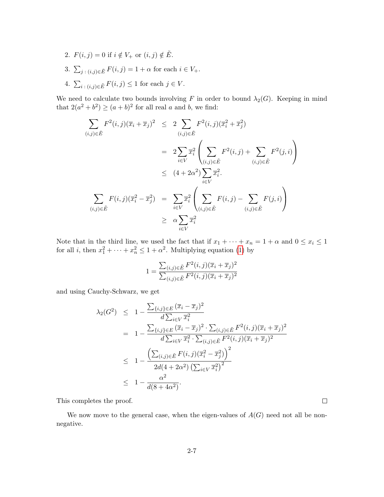- 2.  $F(i, j) = 0$  if  $i \notin V_+$  or  $(i, j) \notin \tilde{E}$ .
- 3.  $\sum_{j:(i,j)\in\tilde{E}}F(i,j)=1+\alpha$  for each  $i\in V_+$ .
- 4.  $\sum_{i:(i,j)\in \tilde{E}} F(i,j) \leq 1$  for each  $j \in V$ .

We need to calculate two bounds involving F in order to bound  $\lambda_2(G)$ . Keeping in mind that  $2(a^2 + b^2) \ge (a + b)^2$  for all real a and b, we find:

$$
\sum_{(i,j)\in \tilde{E}} F^{2}(i,j)(\overline{x}_{i} + \overline{x}_{j})^{2} \leq 2 \sum_{(i,j)\in \tilde{E}} F^{2}(i,j)(\overline{x}_{i}^{2} + \overline{x}_{j}^{2})
$$
\n
$$
= 2 \sum_{i\in V} \overline{x}_{i}^{2} \left( \sum_{(i,j)\in \tilde{E}} F^{2}(i,j) + \sum_{(i,j)\in \tilde{E}} F^{2}(j,i) \right)
$$
\n
$$
\leq (4 + 2\alpha^{2}) \sum_{i\in V} \overline{x}_{i}^{2}.
$$
\n
$$
\sum_{(i,j)\in \tilde{E}} F(i,j)(\overline{x}_{i}^{2} - \overline{x}_{j}^{2}) = \sum_{i\in V} \overline{x}_{i}^{2} \left( \sum_{(i,j)\in \tilde{E}} F(i,j) - \sum_{(i,j)\in \tilde{E}} F(j,i) \right)
$$
\n
$$
\geq \alpha \sum_{i\in V} \overline{x}_{i}^{2}
$$

Note that in the third line, we used the fact that if  $x_1 + \cdots + x_n = 1 + \alpha$  and  $0 \le x_i \le 1$ for all *i*, then  $x_1^2 + \cdots + x_n^2 \le 1 + \alpha^2$ . Multiplying equation [\(1\)](#page-5-0) by

$$
1 = \frac{\sum_{(i,j)\in \tilde{E}} F^{2}(i,j)(\overline{x}_{i} + \overline{x}_{j})^{2}}{\sum_{(i,j)\in \tilde{E}} F^{2}(i,j)(\overline{x}_{i} + \overline{x}_{j})^{2}}
$$

and using Cauchy-Schwarz, we get

$$
\lambda_2(G^2) \leq 1 - \frac{\sum_{\{i,j\} \in E} (\overline{x}_i - \overline{x}_j)^2}{d \sum_{i \in V} \overline{x}_i^2}
$$
\n
$$
= 1 - \frac{\sum_{\{i,j\} \in E} (\overline{x}_i - \overline{x}_j)^2 \cdot \sum_{(i,j) \in \tilde{E}} F^2(i,j) (\overline{x}_i + \overline{x}_j)^2}{d \sum_{i \in V} \overline{x}_i^2 \cdot \sum_{(i,j) \in \tilde{E}} F^2(i,j) (\overline{x}_i + \overline{x}_j)^2}
$$
\n
$$
\leq 1 - \frac{\left(\sum_{(i,j) \in \tilde{E}} F(i,j) (\overline{x}_i^2 - \overline{x}_j^2)\right)^2}{2d(4 + 2\alpha^2) \left(\sum_{i \in V} \overline{x}_i^2\right)^2}
$$
\n
$$
\leq 1 - \frac{\alpha^2}{d(8 + 4\alpha^2)}.
$$

This completes the proof.

We now move to the general case, when the eigen-values of  $A(G)$  need not all be nonnegative.

 $\Box$